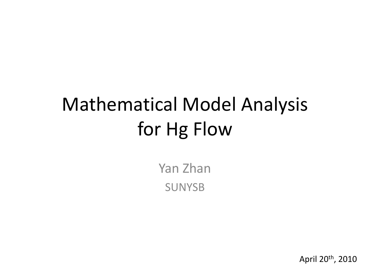# Mathematical Model Analysis for Hg Flow

Yan Zhan SUNYSB

April 20th, 2010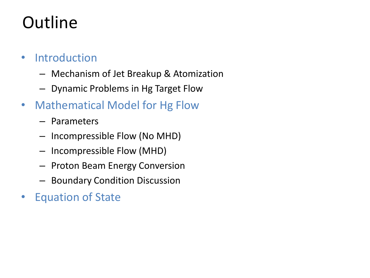# **Outline**

### • Introduction

- Mechanism of Jet Breakup & Atomization
- Dynamic Problems in Hg Target Flow
- Mathematical Model for Hg Flow
	- Parameters
	- Incompressible Flow (No MHD)
	- Incompressible Flow (MHD)
	- Proton Beam Energy Conversion
	- Boundary Condition Discussion
- Equation of State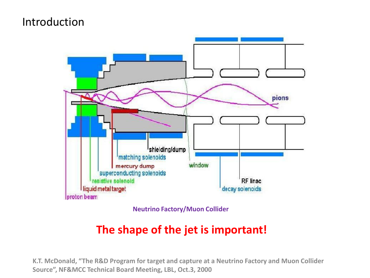### Introduction



**Neutrino Factory/Muon Collider**

### **The shape of the jet is important!**

**K.T. McDonald, "The R&D Program for target and capture at a Neutrino Factory and Muon Collider Source", NF&MCC Technical Board Meeting, LBL, Oct.3, 2000**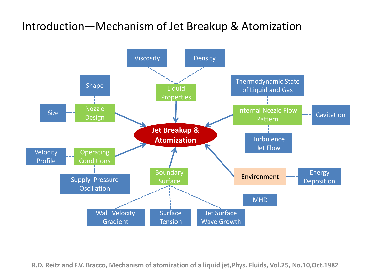### Introduction―Mechanism of Jet Breakup & Atomization



**R.D. Reitz and F.V. Bracco, Mechanism of atomization of a liquid jet,Phys. Fluids, Vol.25, No.10,Oct.1982**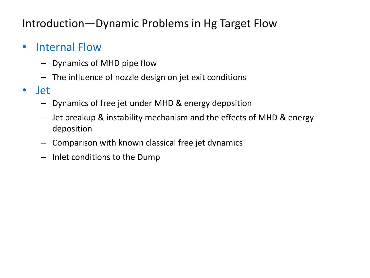### Introduction―Dynamic Problems in Hg Target Flow

### • Internal Flow

- Dynamics of MHD pipe flow
- The influence of nozzle design on jet exit conditions
- Jet
	- Dynamics of free jet under MHD & energy deposition
	- Jet breakup & instability mechanism and the effects of MHD & energy deposition
	- Comparison with known classical free jet dynamics
	- Inlet conditions to the Dump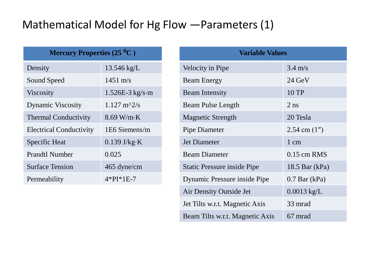### Mathematical Model for Hg Flow ―Parameters (1)

| Mercury Properties $(25\text{ }^{\circ}\text{C})$ |                              | <b>Variable Values</b>             |                   |
|---------------------------------------------------|------------------------------|------------------------------------|-------------------|
| Density                                           | $13.546 \text{ kg/L}$        | Velocity in Pipe                   | $3.4 \text{ m/s}$ |
| Sound Speed                                       | $1451 \text{ m/s}$           | <b>Beam Energy</b>                 | $24 \text{ GeV}$  |
| <b>Viscosity</b>                                  | $1.526E-3$ kg/s·m            | <b>Beam Intensity</b>              | 10 TP             |
| <b>Dynamic Viscosity</b>                          | $1.127 \text{ m}^2/\text{s}$ | <b>Beam Pulse Length</b>           | $2$ ns            |
| <b>Thermal Conductivity</b>                       | $8.69$ W/m·K                 | <b>Magnetic Strength</b>           | 20 Tesla          |
| <b>Electrical Conductivity</b>                    | 1E6 Siemens/m                | Pipe Diameter                      | 2.54 cm $(1'')$   |
| <b>Specific Heat</b>                              | $0.139$ J/kg·K               | Jet Diameter                       | $1 \text{ cm}$    |
| <b>Prandtl Number</b>                             | 0.025                        | <b>Beam Diameter</b>               | $0.15$ cm RMS     |
| <b>Surface Tension</b>                            | 465 dyne/cm                  | <b>Static Pressure inside Pipe</b> | 18.5 Bar $(kPa)$  |
| Permeability                                      | $4*PI*1E-7$                  | Dynamic Pressure inside Pipe       | $0.7$ Bar (kPa)   |
|                                                   |                              | Air Density Outside Jet            | $0.0013$ kg/L     |

Jet Tilts w.r.t. Magnetic Axis 33 mrad

Beam Tilts w.r.t. Magnetic Axis 67 mrad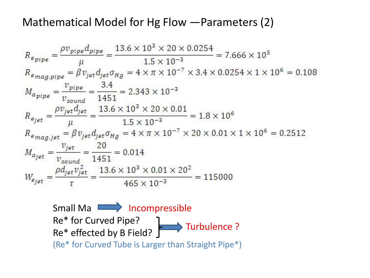### Mathematical Model for Hg Flow ―Parameters (2)

$$
R_{e_{pipe}} = \frac{\rho v_{pipe} d_{pipe}}{\mu} = \frac{13.6 \times 10^3 \times 20 \times 0.0254}{1.5 \times 10^{-3}} = 7.666 \times 10^5
$$
  
\n
$$
R_{e_{mag,pipe}} = \beta v_{jet} d_{jet} \sigma_{Hg} = 4 \times \pi \times 10^{-7} \times 3.4 \times 0.0254 \times 1 \times 10^6 = 0.108
$$
  
\n
$$
M_{a_{pipe}} = \frac{v_{pipe}}{v_{sound}} = \frac{3.4}{1451} = 2.343 \times 10^{-3}
$$
  
\n
$$
R_{e_{jet}} = \frac{\rho v_{jet} d_{jet}}{\mu} = \frac{13.6 \times 10^3 \times 20 \times 0.01}{1.5 \times 10^{-3}} = 1.8 \times 10^6
$$
  
\n
$$
R_{e_{mag, jet}} = \beta v_{jet} d_{jet} \sigma_{Hg} = 4 \times \pi \times 10^{-7} \times 20 \times 0.01 \times 1 \times 10^6 = 0.2512
$$
  
\n
$$
M_{a_{jet}} = \frac{v_{jet}}{v_{sound}} = \frac{20}{1451} = 0.014
$$
  
\n
$$
W_{e_{jet}} = \frac{\rho d_{jet} v_{jet}^2}{\tau} = \frac{13.6 \times 10^3 \times 0.01 \times 20^2}{465 \times 10^{-3}} = 115000
$$

Small Ma **If All Alleman** Incompressible Re\* for Curved Pipe? Re\* effected by B Field? (Re\* for Curved Tube is Larger than Straight Pipe\*) Turbulence ?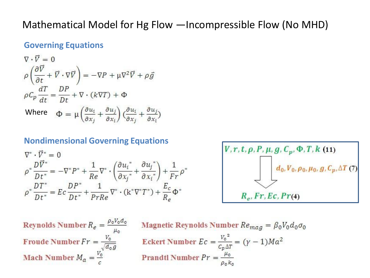#### Mathematical Model for Hg Flow ―Incompressible Flow (No MHD)

#### **Governing Equations**

$$
\nabla \cdot \vec{V} = 0
$$
  
\n
$$
\rho \left( \frac{\partial \vec{V}}{\partial t} + \vec{V} \cdot \nabla \vec{V} \right) = -\nabla P + \mu \nabla^2 \vec{V} + \rho \vec{g}
$$
  
\n
$$
\rho C_p \frac{dT}{dt} = \frac{DP}{Dt} + \nabla \cdot (k \nabla T) + \Phi
$$
  
\nWhere 
$$
\Phi = \mu \left( \frac{\partial u_i}{\partial x_j} + \frac{\partial u_j}{\partial x_i} \right) \left( \frac{\partial u_i}{\partial x_j} + \frac{\partial u_j}{\partial x_i} \right)
$$

#### **Nondimensional Governing Equations**

$$
\nabla^* \cdot \vec{V}^* = 0
$$
\n
$$
\rho^* \frac{D \vec{V}^*}{Dt^*} = -\nabla^* P^* + \frac{1}{Re} \nabla^* \cdot \left(\frac{\partial u_i^*}{\partial x_j^*} + \frac{\partial u_j^*}{\partial x_i^*}\right) + \frac{1}{Fr} \rho
$$
\n
$$
\rho^* \frac{DT^*}{Dt^*} = Ec \frac{DP^*}{Dt^*} + \frac{1}{PrRe} \nabla^* \cdot \left(k^* \nabla^* T^*\right) + \frac{E_c}{Re} \Phi^*
$$

$$
V, r, t, \rho, P, \mu, g, C_p, \Phi, T, k
$$
 (11)  

$$
d_0, V_0, \rho_0, \mu_0, g, C_p, \Delta T
$$
 (7)  

$$
R_e, Fr, Ec, Pr(4)
$$

Reynolds Number  $R_e = \frac{\rho_0 V_0 d_0}{\mu_0}$  Magnetic Reynolds Number  $Re_{mag} = \beta_0 V$ <br>Froude Number  $Fr = \frac{V_0}{\sqrt{d_0 g}}$  Eckert Number  $Ec = \frac{V_0^2}{c_p \Delta T} = (\gamma - 1)Ma^2$ <br>Mach Number  $M_a = \frac{V_0}{c}$  Prandtl Number  $Pr = \frac{\mu_0}{\rho_0 k_0}$ **Magnetic Reynolds Number**  $Re_{mag} = \beta_0 V_0 d_0 \sigma_0$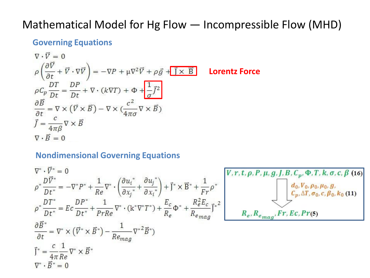### Mathematical Model for Hg Flow ― Incompressible Flow (MHD)

#### **Governing Equations**

$$
\nabla \cdot \vec{V} = 0
$$
\n
$$
\rho \left( \frac{\partial \vec{V}}{\partial t} + \vec{V} \cdot \nabla \vec{V} \right) = -\nabla P + \mu \nabla^2 \vec{V} + \rho \vec{g} + \vec{J} \times \vec{B}
$$
\nLorentz Force\n
$$
\rho C_p \frac{DT}{Dt} = \frac{DP}{Dt} + \nabla \cdot (k \nabla T) + \Phi + \frac{1}{\sigma} \vec{J}^2
$$
\n
$$
\frac{\partial \vec{B}}{\partial t} = \nabla \times (\vec{V} \times \vec{B}) - \nabla \times (\frac{c^2}{4\pi \sigma} \nabla \times \vec{B})
$$
\n
$$
\vec{J} = \frac{c}{4\pi \beta} \nabla \times \vec{B}
$$
\n
$$
\nabla \cdot \vec{B} = 0
$$

#### **Nondimensional Governing Equations**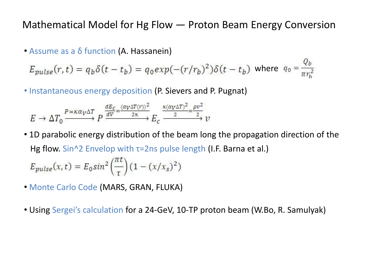#### Mathematical Model for Hg Flow ― Proton Beam Energy Conversion

• Assume as a δ function (A. Hassanein)

 $E_{pulse}(r,t) = q_b \delta(t - t_b) = q_0 exp(-(r/r_b)^2) \delta(t - t_b)$  where  $q_0 = \frac{Q_b}{\pi r^2}$ 

• Instantaneous energy deposition (P. Sievers and P. Pugnat)

$$
E \to \Delta T_0 \xrightarrow{P = \kappa \alpha_V \Delta T} P \xrightarrow{\frac{dE_c}{dV} = \frac{(\alpha_V \Delta T(r))^2}{2\kappa} E_c \xrightarrow{\kappa (\alpha_V \Delta T)^2 = \frac{\rho v^2}{2}} \nu
$$

• 1D parabolic energy distribution of the beam long the propagation direction of the Hg flow. Sin^2 Envelop with  $\tau$ =2ns pulse length (I.F. Barna et al.)

$$
E_{pulse}(x,t) = E_0 \sin^2\left(\frac{hc}{\tau}\right) (1 - (x/x_s)^2)
$$

- Monte Carlo Code (MARS, GRAN, FLUKA)
- Using Sergei's calculation for a 24-GeV, 10-TP proton beam (W.Bo, R. Samulyak)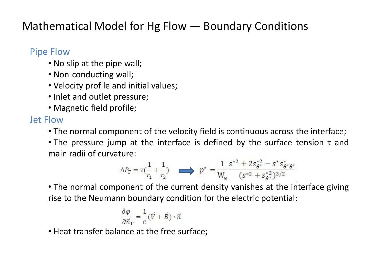### Mathematical Model for Hg Flow ― Boundary Conditions

#### Pipe Flow

- No slip at the pipe wall;
- Non-conducting wall;
- Velocity profile and initial values;
- Inlet and outlet pressure;
- Magnetic field profile;

#### Jet Flow

- The normal component of the velocity field is continuous across the interface;
- The pressure jump at the interface is defined by the surface tension τ and main radii of curvature:

$$
\Delta P_{\Gamma} = \tau \left( \frac{1}{r_1} + \frac{1}{r_2} \right) \qquad p^* = \frac{1}{W_a} \frac{s^{*2} + 2s_{\theta^*}^{*2} - s^* s_{\theta^* \theta^*}^*}{(s^{*2} + s_{\theta^*}^{*2})^{3/2}}
$$

• The normal component of the current density vanishes at the interface giving rise to the Neumann boundary condition for the electric potential:

$$
\frac{\partial \varphi}{\partial \vec{n}_\Gamma} = \frac{1}{c} \big( \vec{V} + \vec{B} \big) \cdot \vec{n}
$$

• Heat transfer balance at the free surface;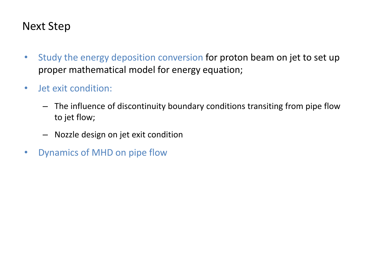### Next Step

- Study the energy deposition conversion for proton beam on jet to set up proper mathematical model for energy equation;
- Jet exit condition:
	- The influence of discontinuity boundary conditions transiting from pipe flow to jet flow;
	- Nozzle design on jet exit condition
- Dynamics of MHD on pipe flow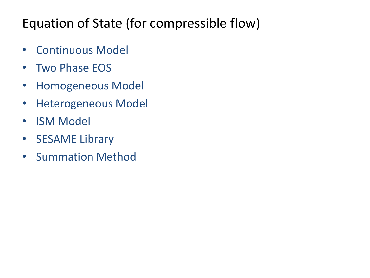## Equation of State (for compressible flow)

- Continuous Model
- Two Phase EOS
- Homogeneous Model
- Heterogeneous Model
- ISM Model
- SESAME Library
- Summation Method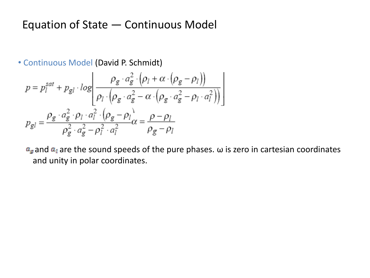### Equation of State ― Continuous Model

• Continuous Model (David P. Schmidt)

$$
p = p_l^{sat} + p_{gl} \cdot log \left( \frac{\rho_g \cdot a_g^2 \cdot (\rho_l + \alpha \cdot (\rho_g - \rho_l))}{\rho_l \cdot (\rho_g \cdot a_g^2 - \alpha \cdot (\rho_g \cdot a_g^2 - \rho_l \cdot a_l^2))} \right)
$$

$$
p_{gl} = \frac{\rho_g \cdot a_g^2 \cdot \rho_l \cdot a_l^2 \cdot (\rho_g - \rho_l)}{\rho_g^2 \cdot a_g^2 - \rho_l^2 \cdot a_l^2} \alpha = \frac{\rho - \rho_l}{\rho_g - \rho_l}
$$

 $a_g$  and  $a_l$  are the sound speeds of the pure phases.  $\omega$  is zero in cartesian coordinates and unity in polar coordinates.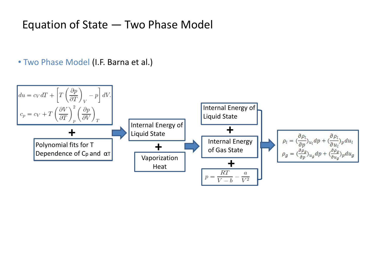### Equation of State ― Two Phase Model

• Two Phase Model (I.F. Barna et al.)

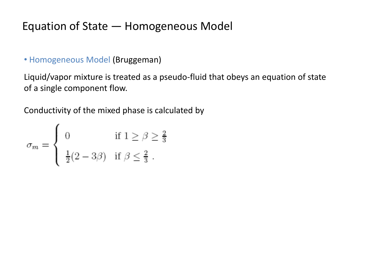### Equation of State ― Homogeneous Model

• Homogeneous Model (Bruggeman)

Liquid/vapor mixture is treated as a pseudo-fluid that obeys an equation of state of a single component flow.

Conductivity of the mixed phase is calculated by

$$
\sigma_m = \left\{ \begin{array}{ll} 0 & \mbox{if } 1 \geq \beta \geq \frac{2}{3} \\[3mm] \frac{1}{2}(2-3\beta) & \mbox{if } \beta \leq \frac{2}{3} \; . \end{array} \right.
$$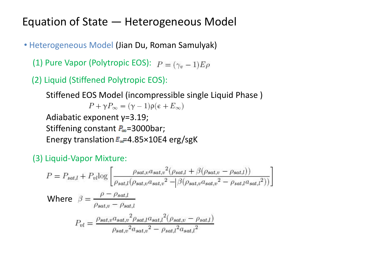### Equation of State ― Heterogeneous Model

• Heterogeneous Model (Jian Du, Roman Samulyak)

- (1) Pure Vapor (Polytropic EOS):  $P = (\gamma_v 1)E\rho$
- (2) Liquid (Stiffened Polytropic EOS):

Stiffened EOS Model (incompressible single Liquid Phase )  $P + \gamma P_{\infty} = (\gamma - 1)\rho(\epsilon + E_{\infty})$ Adiabatic exponent γ=3.19; Stiffening constant  $P_{\infty}$ =3000bar; Energy translation  $E_{\text{eff}}=4.85\times10E4$  erg/sgK

(3) Liquid-Vapor Mixture:

$$
P = P_{sat,l} + P_{vl} \log \left[ \frac{\rho_{sat,v} a_{sat,v}^{2} (\rho_{sat,l} + \beta(\rho_{sat,v} - \rho_{sat,l}))}{\rho_{sat,l} (\rho_{sat,v} a_{sat,v}^{2} - \beta(\rho_{sat,v} a_{sat,v}^{2} - \rho_{sat,l} a_{sat,l}^{2}))} \right]
$$
  
Where 
$$
\beta = \frac{\rho - \rho_{sat,l}}{\rho_{sat,v} - \rho_{sat,l}}
$$

$$
P_{vl} = \frac{\rho_{sat,v} a_{sat,v}^{2} \rho_{sat,l} a_{sat,l}^{2} (\rho_{sat,v} - \rho_{sat,l})}{\rho_{sat,v}^{2} a_{sat,v}^{2} - \rho_{sat,l}^{2} a_{sat,l}^{2}}
$$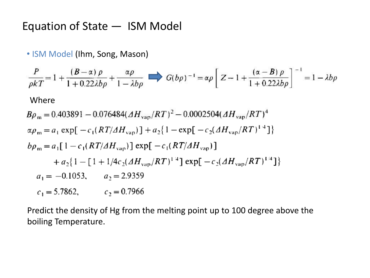### Equation of State ― ISM Model

• ISM Model (Ihm, Song, Mason)

$$
\frac{P}{\rho kT} = 1 + \frac{(B - \alpha)\rho}{1 + 0.22\lambda b\rho} + \frac{\alpha\rho}{1 - \lambda b\rho} \qquad G(b\rho)^{-1} = \alpha\rho \left[ Z - 1 + \frac{(\alpha - B)\rho}{1 + 0.22\lambda b\rho} \right]^{-1} = 1 - \lambda b\rho
$$
\nWhere\n
$$
B\rho_m = 0.403891 - 0.076484(\Delta H_{\text{van}}/RT)^2 - 0.0002504(\Delta H_{\text{van}}/RT)^4
$$
\n
$$
\alpha\rho_m = a_1 \exp[-c_1(RT/\Delta H_{\text{van}})] + a_2\{1 - \exp[-c_2(\Delta H_{\text{van}}/RT)^{1/4}]\}
$$
\n
$$
b\rho_m = a_1[1 - c_1(RT/\Delta H_{\text{van}})] \exp[-c_1(RT/\Delta H_{\text{van}})]
$$
\n
$$
+ a_2\{1 - [1 + 1/4c_2(\Delta H_{\text{van}}/RT)^{1/4}] \exp[-c_2(\Delta H_{\text{van}}/RT)^{1/4}]\}
$$
\n
$$
a_1 = -0.1053, \qquad a_2 = 2.9359
$$

 $c_1 = 5.7862,$   $c_2 = 0.7966$ 

Predict the density of Hg from the melting point up to 100 degree above the boiling Temperature.